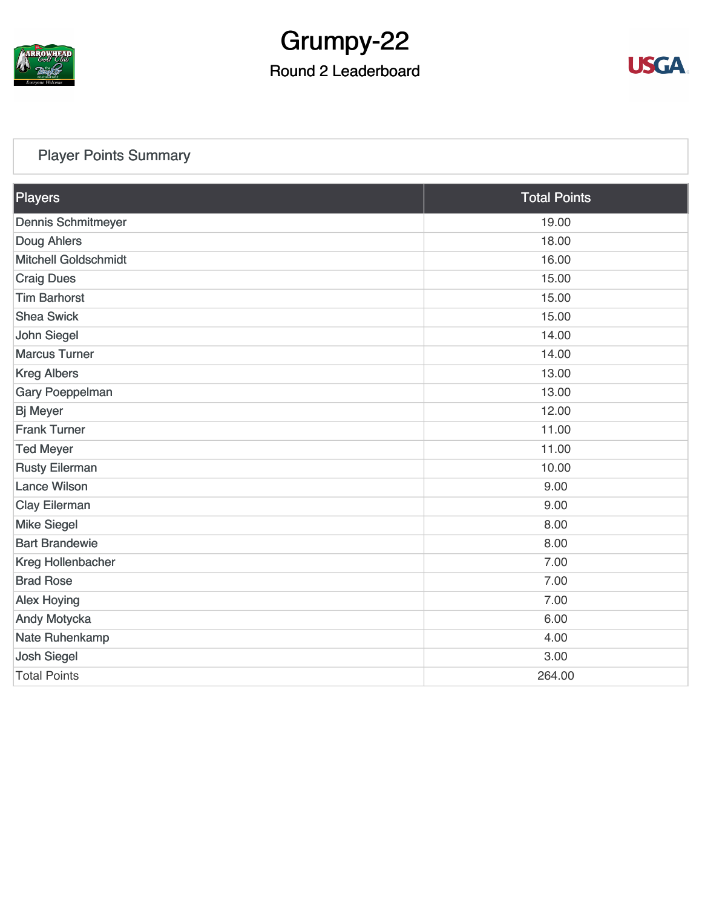

# Grumpy-22

## Round 2 Leaderboard



### [Player Points Summary](https://static.golfgenius.com/v2tournaments/total_points?league_id=8123139340541895924&round_id=8123140150478775665)

| Players                     | <b>Total Points</b> |  |
|-----------------------------|---------------------|--|
| <b>Dennis Schmitmeyer</b>   | 19.00               |  |
| <b>Doug Ahlers</b>          | 18.00               |  |
| <b>Mitchell Goldschmidt</b> | 16.00               |  |
| <b>Craig Dues</b>           | 15.00               |  |
| <b>Tim Barhorst</b>         | 15.00               |  |
| <b>Shea Swick</b>           | 15.00               |  |
| <b>John Siegel</b>          | 14.00               |  |
| <b>Marcus Turner</b>        | 14.00               |  |
| <b>Kreg Albers</b>          | 13.00               |  |
| Gary Poeppelman             | 13.00               |  |
| <b>Bj Meyer</b>             | 12.00               |  |
| <b>Frank Turner</b>         | 11.00               |  |
| <b>Ted Meyer</b>            | 11.00               |  |
| <b>Rusty Eilerman</b>       | 10.00               |  |
| <b>Lance Wilson</b>         | 9.00                |  |
| Clay Eilerman               | 9.00                |  |
| <b>Mike Siegel</b>          | 8.00                |  |
| <b>Bart Brandewie</b>       | 8.00                |  |
| Kreg Hollenbacher           | 7.00                |  |
| <b>Brad Rose</b>            | 7.00                |  |
| <b>Alex Hoying</b>          | 7.00                |  |
| Andy Motycka                | 6.00                |  |
| Nate Ruhenkamp              | 4.00                |  |
| <b>Josh Siegel</b>          | 3.00                |  |
| <b>Total Points</b>         | 264.00              |  |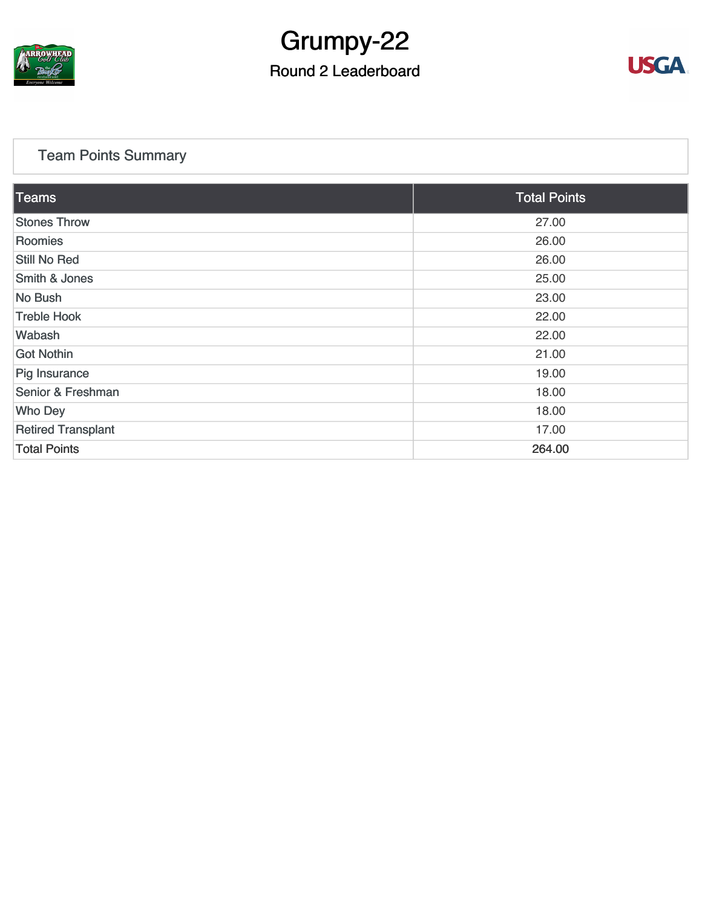

## Grumpy-22

## Round 2 Leaderboard



### [Team Points Summary](https://static.golfgenius.com/v2tournaments/team_points?league_id=8123139340541895924&round_id=8123140150478775665)

| Teams                     | <b>Total Points</b> |  |
|---------------------------|---------------------|--|
| <b>Stones Throw</b>       | 27.00               |  |
| Roomies                   | 26.00               |  |
| Still No Red              | 26.00               |  |
| Smith & Jones             | 25.00               |  |
| No Bush                   | 23.00               |  |
| <b>Treble Hook</b>        | 22.00               |  |
| Wabash                    | 22.00               |  |
| Got Nothin                | 21.00               |  |
| Pig Insurance             | 19.00               |  |
| Senior & Freshman         | 18.00               |  |
| <b>Who Dey</b>            | 18.00               |  |
| <b>Retired Transplant</b> | 17.00               |  |
| <b>Total Points</b>       | 264.00              |  |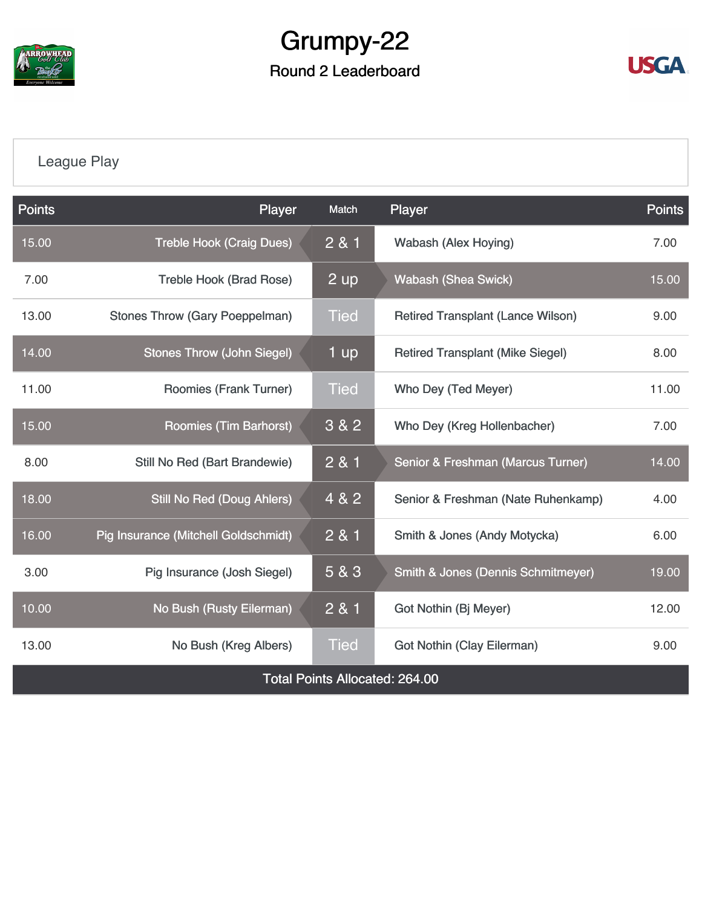

## Grumpy-22 Round 2 Leaderboard



## [League Play](https://static.golfgenius.com/v2tournaments/8123149004587410594?called_from=&round_index=2)

| <b>Points</b>                         | Player                                | Match       | Player                                        | <b>Points</b> |  |  |  |
|---------------------------------------|---------------------------------------|-------------|-----------------------------------------------|---------------|--|--|--|
| 15.00                                 | <b>Treble Hook (Craig Dues)</b>       | 281         | <b>Wabash (Alex Hoying)</b>                   | 7.00          |  |  |  |
| 7.00                                  | <b>Treble Hook (Brad Rose)</b>        | 2 up        | <b>Wabash (Shea Swick)</b>                    | 15.00         |  |  |  |
| 13.00                                 | <b>Stones Throw (Gary Poeppelman)</b> | <b>Tied</b> | <b>Retired Transplant (Lance Wilson)</b>      | 9.00          |  |  |  |
| 14.00                                 | <b>Stones Throw (John Siegel)</b>     | 1 up        | <b>Retired Transplant (Mike Siegel)</b>       | 8.00          |  |  |  |
| 11.00                                 | <b>Roomies (Frank Turner)</b>         | <b>Tied</b> | Who Dey (Ted Meyer)                           | 11.00         |  |  |  |
| 15.00                                 | Roomies (Tim Barhorst)                | 3 & 2       | Who Dey (Kreg Hollenbacher)                   | 7.00          |  |  |  |
| 8.00                                  | Still No Red (Bart Brandewie)         | 2 & 1       | Senior & Freshman (Marcus Turner)             | 14.00         |  |  |  |
| 18.00                                 | <b>Still No Red (Doug Ahlers)</b>     | 4 & 2       | Senior & Freshman (Nate Ruhenkamp)            | 4.00          |  |  |  |
| 16.00                                 | Pig Insurance (Mitchell Goldschmidt)  | 2 & 1       | Smith & Jones (Andy Motycka)                  | 6.00          |  |  |  |
| 3.00                                  | Pig Insurance (Josh Siegel)           | 5 & 3       | <b>Smith &amp; Jones (Dennis Schmitmeyer)</b> | 19.00         |  |  |  |
| 10.00                                 | No Bush (Rusty Eilerman)              | 281         | Got Nothin (Bj Meyer)                         | 12.00         |  |  |  |
| 13.00                                 | No Bush (Kreg Albers)                 | <b>Tied</b> | <b>Got Nothin (Clay Eilerman)</b>             | 9.00          |  |  |  |
| <b>Total Points Allocated: 264.00</b> |                                       |             |                                               |               |  |  |  |